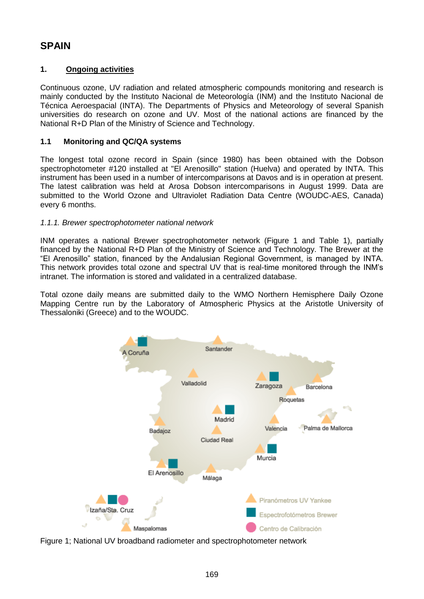# **SPAIN**

## **1. Ongoing activities**

Continuous ozone, UV radiation and related atmospheric compounds monitoring and research is mainly conducted by the Instituto Nacional de Meteorología (INM) and the Instituto Nacional de Técnica Aeroespacial (INTA). The Departments of Physics and Meteorology of several Spanish universities do research on ozone and UV. Most of the national actions are financed by the National R+D Plan of the Ministry of Science and Technology.

## **1.1 Monitoring and QC/QA systems**

The longest total ozone record in Spain (since 1980) has been obtained with the Dobson spectrophotometer #120 installed at "El Arenosillo" station (Huelva) and operated by INTA. This instrument has been used in a number of intercomparisons at Davos and is in operation at present. The latest calibration was held at Arosa Dobson intercomparisons in August 1999. Data are submitted to the World Ozone and Ultraviolet Radiation Data Centre (WOUDC-AES, Canada) every 6 months.

## *1.1.1. Brewer spectrophotometer national network*

INM operates a national Brewer spectrophotometer network (Figure 1 and Table 1), partially financed by the National R+D Plan of the Ministry of Science and Technology. The Brewer at the "El Arenosillo" station, financed by the Andalusian Regional Government, is managed by INTA. This network provides total ozone and spectral UV that is real-time monitored through the INM's intranet. The information is stored and validated in a centralized database.

Total ozone daily means are submitted daily to the WMO Northern Hemisphere Daily Ozone Mapping Centre run by the Laboratory of Atmospheric Physics at the Aristotle University of Thessaloniki (Greece) and to the WOUDC.



Figure 1; National UV broadband radiometer and spectrophotometer network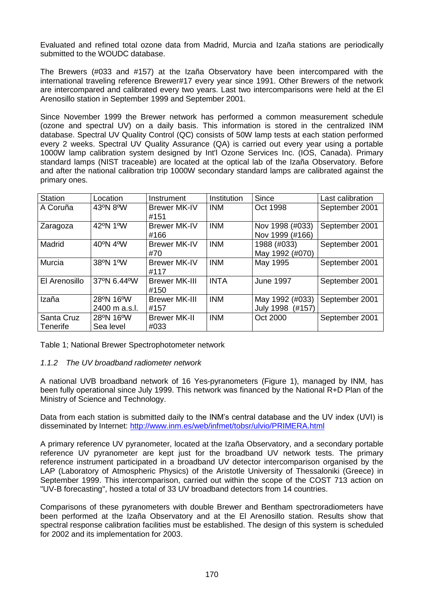Evaluated and refined total ozone data from Madrid, Murcia and Izaña stations are periodically submitted to the WOUDC database.

The Brewers (#033 and #157) at the Izaña Observatory have been intercompared with the international traveling reference Brewer#17 every year since 1991. Other Brewers of the network are intercompared and calibrated every two years. Last two intercomparisons were held at the El Arenosillo station in September 1999 and September 2001.

Since November 1999 the Brewer network has performed a common measurement schedule (ozone and spectral UV) on a daily basis. This information is stored in the centralized INM database. Spectral UV Quality Control (QC) consists of 50W lamp tests at each station performed every 2 weeks. Spectral UV Quality Assurance (QA) is carried out every year using a portable 1000W lamp calibration system designed by Int'l Ozone Services Inc. (IOS, Canada). Primary standard lamps (NIST traceable) are located at the optical lab of the Izaña Observatory. Before and after the national calibration trip 1000W secondary standard lamps are calibrated against the primary ones.

| Station                | Location                   | Instrument                   | <b>Institution</b> | <b>Since</b>                        | Last calibration |
|------------------------|----------------------------|------------------------------|--------------------|-------------------------------------|------------------|
| A Coruña               | 43°N 8°W                   | <b>Brewer MK-IV</b><br>#151  | <b>INM</b>         | Oct 1998                            | September 2001   |
| Zaragoza               | 42°N 1°W                   | <b>Brewer MK-IV</b><br>#166  | <b>INM</b>         | Nov 1998 (#033)<br>Nov 1999 (#166)  | September 2001   |
| Madrid                 | 40°N 4°W                   | <b>Brewer MK-IV</b><br>#70   | <b>INM</b>         | 1988 (#033)<br>May 1992 (#070)      | September 2001   |
| Murcia                 | 38°N 1°W                   | <b>Brewer MK-IV</b><br>#117  | <b>INM</b>         | May 1995                            | September 2001   |
| El Arenosillo          | 37°N 6.44°W                | <b>Brewer MK-III</b><br>#150 | <b>INTA</b>        | <b>June 1997</b>                    | September 2001   |
| Izaña                  | 28°N 16°W<br>2400 m a.s.l. | <b>Brewer MK-III</b><br>#157 | <b>INM</b>         | May 1992 (#033)<br>July 1998 (#157) | September 2001   |
| Santa Cruz<br>Tenerife | 28°N 16°W<br>Sea level     | <b>Brewer MK-II</b><br>#033  | <b>INM</b>         | Oct 2000                            | September 2001   |

Table 1; National Brewer Spectrophotometer network

#### *1.1.2 The UV broadband radiometer network*

A national UVB broadband network of 16 Yes-pyranometers (Figure 1), managed by INM, has been fully operational since July 1999. This network was financed by the National R+D Plan of the Ministry of Science and Technology.

Data from each station is submitted daily to the INM's central database and the UV index (UVI) is disseminated by Internet:<http://www.inm.es/web/infmet/tobsr/ulvio/PRIMERA.html>

A primary reference UV pyranometer, located at the Izaña Observatory, and a secondary portable reference UV pyranometer are kept just for the broadband UV network tests. The primary reference instrument participated in a broadband UV detector intercomparison organised by the LAP (Laboratory of Atmospheric Physics) of the Aristotle University of Thessaloniki (Greece) in September 1999. This intercomparison, carried out within the scope of the COST 713 action on "UV-B forecasting", hosted a total of 33 UV broadband detectors from 14 countries.

Comparisons of these pyranometers with double Brewer and Bentham spectroradiometers have been performed at the Izaña Observatory and at the El Arenosillo station. Results show that spectral response calibration facilities must be established. The design of this system is scheduled for 2002 and its implementation for 2003.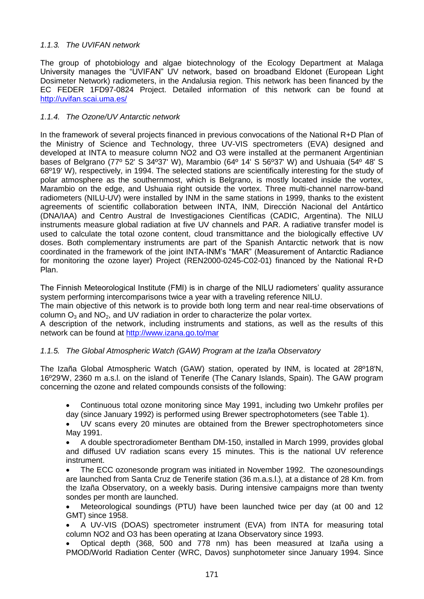## *1.1.3. The UVIFAN network*

The group of photobiology and algae biotechnology of the Ecology Department at Malaga University manages the "UVIFAN" UV network, based on broadband Eldonet (European Light Dosimeter Network) radiometers, in the Andalusia region. This network has been financed by the EC FEDER 1FD97-0824 Project. Detailed information of this network can be found at <http://uvifan.scai.uma.es/>

#### *1.1.4. The Ozone/UV Antarctic network*

In the framework of several projects financed in previous convocations of the National R+D Plan of the Ministry of Science and Technology, three UV-VIS spectrometers (EVA) designed and developed at INTA to measure column NO2 and O3 were installed at the permanent Argentinian bases of Belgrano (77º 52' S 34º37' W), Marambio (64º 14' S 56º37' W) and Ushuaia (54º 48' S 68º19' W), respectively, in 1994. The selected stations are scientifically interesting for the study of polar atmosphere as the southernmost, which is Belgrano, is mostly located inside the vortex, Marambio on the edge, and Ushuaia right outside the vortex. Three multi-channel narrow-band radiometers (NILU-UV) were installed by INM in the same stations in 1999, thanks to the existent agreements of scientific collaboration between INTA, INM, Dirección Nacional del Antártico (DNA/IAA) and Centro Austral de Investigaciones Científicas (CADIC, Argentina). The NILU instruments measure global radiation at five UV channels and PAR. A radiative transfer model is used to calculate the total ozone content, cloud transmittance and the biologically effective UV doses. Both complementary instruments are part of the Spanish Antarctic network that is now coordinated in the framework of the joint INTA-INM's "MAR" (Measurement of Antarctic Radiance for monitoring the ozone layer) Project (REN2000-0245-C02-01) financed by the National R+D Plan.

The Finnish Meteorological Institute (FMI) is in charge of the NILU radiometers' quality assurance system performing intercomparisons twice a year with a traveling reference NILU.

The main objective of this network is to provide both long term and near real-time observations of column  $O_3$  and  $NO_2$ , and UV radiation in order to characterize the polar vortex.

A description of the network, including instruments and stations, as well as the results of this network can be found at<http://www.izana.go.to/mar>

#### *1.1.5. The Global Atmospheric Watch (GAW) Program at the Izaña Observatory*

The Izaña Global Atmospheric Watch (GAW) station, operated by INM, is located at 28º18'N, 16º29'W, 2360 m a.s.l. on the island of Tenerife (The Canary Islands, Spain). The GAW program concerning the ozone and related compounds consists of the following:

 Continuous total ozone monitoring since May 1991, including two Umkehr profiles per day (since January 1992) is performed using Brewer spectrophotometers (see Table 1).

 UV scans every 20 minutes are obtained from the Brewer spectrophotometers since May 1991.

 A double spectroradiometer Bentham DM-150, installed in March 1999, provides global and diffused UV radiation scans every 15 minutes. This is the national UV reference instrument.

 The ECC ozonesonde program was initiated in November 1992. The ozonesoundings are launched from Santa Cruz de Tenerife station (36 m.a.s.l.), at a distance of 28 Km. from the Izaña Observatory, on a weekly basis. During intensive campaigns more than twenty sondes per month are launched.

 Meteorological soundings (PTU) have been launched twice per day (at 00 and 12 GMT) since 1958.

 A UV-VIS (DOAS) spectrometer instrument (EVA) from INTA for measuring total column NO2 and O3 has been operating at Izana Observatory since 1993.

 Optical depth (368, 500 and 778 nm) has been measured at Izaña using a PMOD/World Radiation Center (WRC, Davos) sunphotometer since January 1994. Since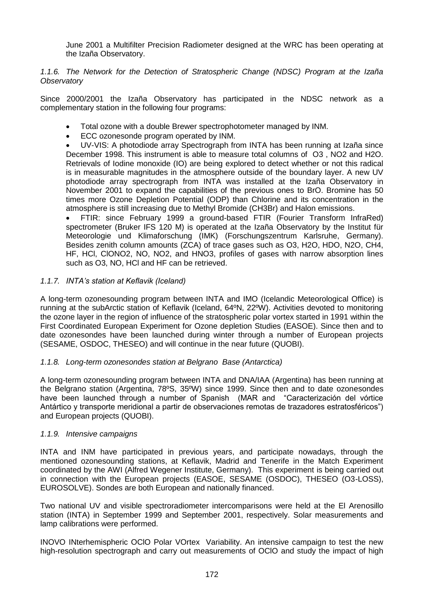June 2001 a Multifilter Precision Radiometer designed at the WRC has been operating at the Izaña Observatory.

*1.1.6. The Network for the Detection of Stratospheric Change (NDSC) Program at the Izaña Observatory*

Since 2000/2001 the Izaña Observatory has participated in the NDSC network as a complementary station in the following four programs:

- Total ozone with a double Brewer spectrophotometer managed by INM.
- ECC ozonesonde program operated by INM.

 UV-VIS: A photodiode array Spectrograph from INTA has been running at Izaña since December 1998. This instrument is able to measure total columns of O3 , NO2 and H2O. Retrievals of Iodine monoxide (IO) are being explored to detect whether or not this radical is in measurable magnitudes in the atmosphere outside of the boundary layer. A new UV photodiode array spectrograph from INTA was installed at the Izaña Observatory in November 2001 to expand the capabilities of the previous ones to BrO. Bromine has 50 times more Ozone Depletion Potential (ODP) than Chlorine and its concentration in the atmosphere is still increasing due to Methyl Bromide (CH3Br) and Halon emissions.

 FTIR: since February 1999 a ground-based FTIR (Fourier Transform InfraRed) spectrometer (Bruker IFS 120 M) is operated at the Izaña Observatory by the Institut für Meteorologie und Klimaforschung (IMK) (Forschungszentrum Karlsruhe, Germany). Besides zenith column amounts (ZCA) of trace gases such as O3, H2O, HDO, N2O, CH4, HF, HCl, ClONO2, NO, NO2, and HNO3, profiles of gases with narrow absorption lines such as O3, NO, HCl and HF can be retrieved.

#### *1.1.7. INTA's station at Keflavik (Iceland)*

A long-term ozonesounding program between INTA and IMO (Icelandic Meteorological Office) is running at the subArctic station of Keflavik (Iceland, 64ºN, 22ºW). Activities devoted to monitoring the ozone layer in the region of influence of the stratospheric polar vortex started in 1991 within the First Coordinated European Experiment for Ozone depletion Studies (EASOE). Since then and to date ozonesondes have been launched during winter through a number of European projects (SESAME, OSDOC, THESEO) and will continue in the near future (QUOBI).

#### *1.1.8. Long-term ozonesondes station at Belgrano Base (Antarctica)*

A long-term ozonesounding program between INTA and DNA/IAA (Argentina) has been running at the Belgrano station (Argentina, 78ºS, 35ºW) since 1999. Since then and to date ozonesondes have been launched through a number of Spanish (MAR and "Caracterización del vórtice Antártico y transporte meridional a partir de observaciones remotas de trazadores estratosféricos") and European projects (QUOBI).

#### *1.1.9. Intensive campaigns*

INTA and INM have participated in previous years, and participate nowadays, through the mentioned ozonesounding stations, at Keflavik, Madrid and Tenerife in the Match Experiment coordinated by the AWI (Alfred Wegener Institute, Germany). This experiment is being carried out in connection with the European projects (EASOE, SESAME (OSDOC), THESEO (O3-LOSS), EUROSOLVE). Sondes are both European and nationally financed.

Two national UV and visible spectroradiometer intercomparisons were held at the El Arenosillo station (INTA) in September 1999 and September 2001, respectively. Solar measurements and lamp calibrations were performed.

INOVO INterhemispheric OClO Polar VOrtex Variability. An intensive campaign to test the new high-resolution spectrograph and carry out measurements of OClO and study the impact of high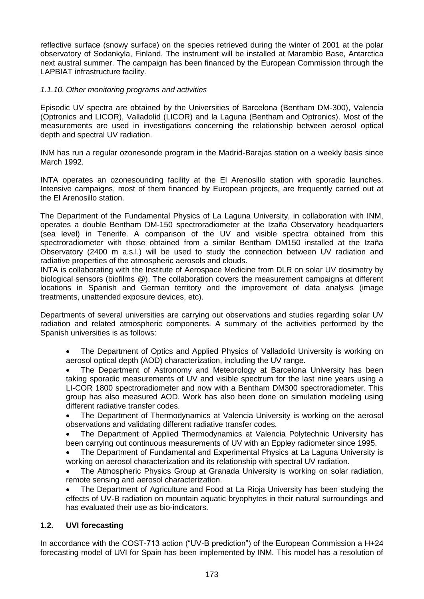reflective surface (snowy surface) on the species retrieved during the winter of 2001 at the polar observatory of Sodankyla, Finland. The instrument will be installed at Marambio Base, Antarctica next austral summer. The campaign has been financed by the European Commission through the LAPBIAT infrastructure facility.

## *1.1.10. Other monitoring programs and activities*

Episodic UV spectra are obtained by the Universities of Barcelona (Bentham DM-300), Valencia (Optronics and LICOR), Valladolid (LICOR) and la Laguna (Bentham and Optronics). Most of the measurements are used in investigations concerning the relationship between aerosol optical depth and spectral UV radiation.

INM has run a regular ozonesonde program in the Madrid-Barajas station on a weekly basis since March 1992.

INTA operates an ozonesounding facility at the El Arenosillo station with sporadic launches. Intensive campaigns, most of them financed by European projects, are frequently carried out at the El Arenosillo station.

The Department of the Fundamental Physics of La Laguna University, in collaboration with INM, operates a double Bentham DM-150 spectroradiometer at the Izaña Observatory headquarters (sea level) in Tenerife. A comparison of the UV and visible spectra obtained from this spectroradiometer with those obtained from a similar Bentham DM150 installed at the Izaña Observatory (2400 m a.s.l.) will be used to study the connection between UV radiation and radiative properties of the atmospheric aerosols and clouds.

INTA is collaborating with the Institute of Aerospace Medicine from DLR on solar UV dosimetry by biological sensors (biofilms @). The collaboration covers the measurement campaigns at different locations in Spanish and German territory and the improvement of data analysis (image treatments, unattended exposure devices, etc).

Departments of several universities are carrying out observations and studies regarding solar UV radiation and related atmospheric components. A summary of the activities performed by the Spanish universities is as follows:

 The Department of Optics and Applied Physics of Valladolid University is working on aerosol optical depth (AOD) characterization, including the UV range.

 The Department of Astronomy and Meteorology at Barcelona University has been taking sporadic measurements of UV and visible spectrum for the last nine years using a LI-COR 1800 spectroradiometer and now with a Bentham DM300 spectroradiometer. This group has also measured AOD. Work has also been done on simulation modeling using different radiative transfer codes.

 The Department of Thermodynamics at Valencia University is working on the aerosol observations and validating different radiative transfer codes.

 The Department of Applied Thermodynamics at Valencia Polytechnic University has been carrying out continuous measurements of UV with an Eppley radiometer since 1995.

 The Department of Fundamental and Experimental Physics at La Laguna University is working on aerosol characterization and its relationship with spectral UV radiation.

 The Atmospheric Physics Group at Granada University is working on solar radiation, remote sensing and aerosol characterization.

 The Department of Agriculture and Food at La Rioja University has been studying the effects of UV-B radiation on mountain aquatic bryophytes in their natural surroundings and has evaluated their use as bio-indicators.

#### **1.2. UVI forecasting**

In accordance with the COST-713 action ("UV-B prediction") of the European Commission a H+24 forecasting model of UVI for Spain has been implemented by INM. This model has a resolution of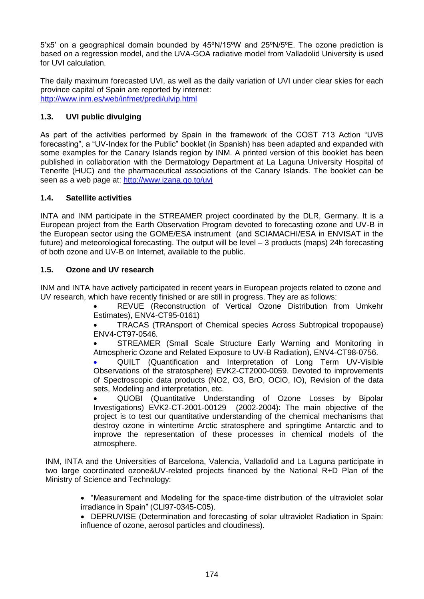5'x5' on a geographical domain bounded by 45ºN/15ºW and 25ºN/5ºE. The ozone prediction is based on a regression model, and the UVA-GOA radiative model from Valladolid University is used for UVI calculation.

The daily maximum forecasted UVI, as well as the daily variation of UVI under clear skies for each province capital of Spain are reported by internet: <http://www.inm.es/web/infmet/predi/ulvip.html>

# **1.3. UVI public divulging**

As part of the activities performed by Spain in the framework of the COST 713 Action "UVB forecasting", a "UV-Index for the Public" booklet (in Spanish) has been adapted and expanded with some examples for the Canary Islands region by INM. A printed version of this booklet has been published in collaboration with the Dermatology Department at La Laguna University Hospital of Tenerife (HUC) and the pharmaceutical associations of the Canary Islands. The booklet can be seen as a web page at:<http://www.izana.go.to/uvi>

## **1.4. Satellite activities**

INTA and INM participate in the STREAMER project coordinated by the DLR, Germany. It is a European project from the Earth Observation Program devoted to forecasting ozone and UV-B in the European sector using the GOME/ESA instrument (and SCIAMACHI/ESA in ENVISAT in the future) and meteorological forecasting. The output will be level – 3 products (maps) 24h forecasting of both ozone and UV-B on Internet, available to the public.

## **1.5. Ozone and UV research**

INM and INTA have actively participated in recent years in European projects related to ozone and UV research, which have recently finished or are still in progress. They are as follows:

 REVUE (Reconstruction of Vertical Ozone Distribution from Umkehr Estimates), ENV4-CT95-0161)

 TRACAS (TRAnsport of Chemical species Across Subtropical tropopause) ENV4-CT97-0546.

 STREAMER (Small Scale Structure Early Warning and Monitoring in Atmospheric Ozone and Related Exposure to UV-B Radiation), ENV4-CT98-0756.

 QUILT (Quantification and Interpretation of Long Term UV-Visible Observations of the stratosphere) EVK2-CT2000-0059. Devoted to improvements of Spectroscopic data products (NO2, O3, BrO, OClO, IO), Revision of the data sets, Modeling and interpretation, etc.

 QUOBI (Quantitative Understanding of Ozone Losses by Bipolar Investigations) EVK2-CT-2001-00129 (2002-2004): The main objective of the project is to test our quantitative understanding of the chemical mechanisms that destroy ozone in wintertime Arctic stratosphere and springtime Antarctic and to improve the representation of these processes in chemical models of the atmosphere.

INM, INTA and the Universities of Barcelona, Valencia, Valladolid and La Laguna participate in two large coordinated ozone&UV-related projects financed by the National R+D Plan of the Ministry of Science and Technology:

- "Measurement and Modeling for the space-time distribution of the ultraviolet solar irradiance in Spain" (CLI97-0345-C05).
- DEPRUVISE (Determination and forecasting of solar ultraviolet Radiation in Spain: influence of ozone, aerosol particles and cloudiness).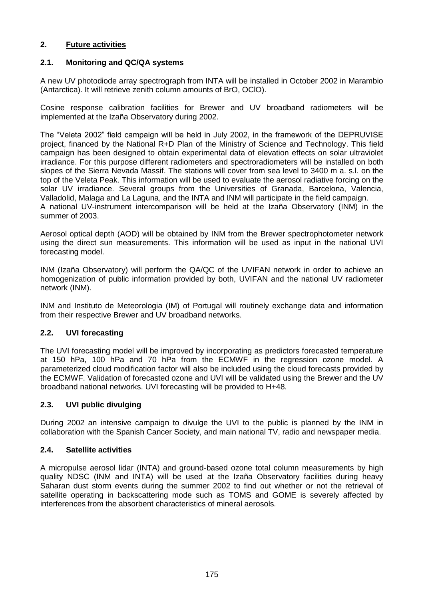## **2. Future activities**

#### **2.1. Monitoring and QC/QA systems**

A new UV photodiode array spectrograph from INTA will be installed in October 2002 in Marambio (Antarctica). It will retrieve zenith column amounts of BrO, OClO).

Cosine response calibration facilities for Brewer and UV broadband radiometers will be implemented at the Izaña Observatory during 2002.

The "Veleta 2002" field campaign will be held in July 2002, in the framework of the DEPRUVISE project, financed by the National R+D Plan of the Ministry of Science and Technology. This field campaign has been designed to obtain experimental data of elevation effects on solar ultraviolet irradiance. For this purpose different radiometers and spectroradiometers will be installed on both slopes of the Sierra Nevada Massif. The stations will cover from sea level to 3400 m a. s.l. on the top of the Veleta Peak. This information will be used to evaluate the aerosol radiative forcing on the solar UV irradiance. Several groups from the Universities of Granada, Barcelona, Valencia, Valladolid, Malaga and La Laguna, and the INTA and INM will participate in the field campaign. A national UV-instrument intercomparison will be held at the Izaña Observatory (INM) in the summer of 2003.

Aerosol optical depth (AOD) will be obtained by INM from the Brewer spectrophotometer network using the direct sun measurements. This information will be used as input in the national UVI forecasting model.

INM (Izaña Observatory) will perform the QA/QC of the UVIFAN network in order to achieve an homogenization of public information provided by both, UVIFAN and the national UV radiometer network (INM).

INM and Instituto de Meteorologia (IM) of Portugal will routinely exchange data and information from their respective Brewer and UV broadband networks.

#### **2.2. UVI forecasting**

The UVI forecasting model will be improved by incorporating as predictors forecasted temperature at 150 hPa, 100 hPa and 70 hPa from the ECMWF in the regression ozone model. A parameterized cloud modification factor will also be included using the cloud forecasts provided by the ECMWF. Validation of forecasted ozone and UVI will be validated using the Brewer and the UV broadband national networks. UVI forecasting will be provided to H+48.

#### **2.3. UVI public divulging**

During 2002 an intensive campaign to divulge the UVI to the public is planned by the INM in collaboration with the Spanish Cancer Society, and main national TV, radio and newspaper media.

#### **2.4. Satellite activities**

A micropulse aerosol lidar (INTA) and ground-based ozone total column measurements by high quality NDSC (INM and INTA) will be used at the Izaña Observatory facilities during heavy Saharan dust storm events during the summer 2002 to find out whether or not the retrieval of satellite operating in backscattering mode such as TOMS and GOME is severely affected by interferences from the absorbent characteristics of mineral aerosols.